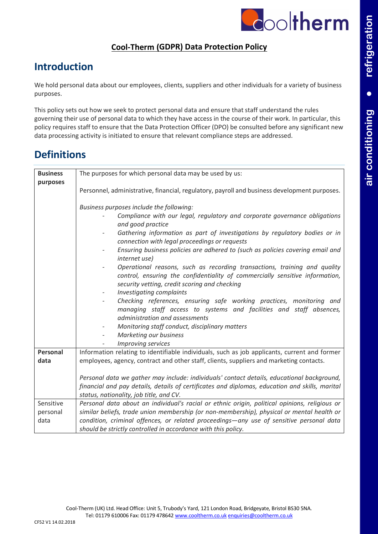

### **Cool-Therm (GDPR) Data Protection Policy**

## **Introduction**

We hold personal data about our employees, clients, suppliers and other individuals for a variety of business purposes.

This policy sets out how we seek to protect personal data and ensure that staff understand the rules governing their use of personal data to which they have access in the course of their work. In particular, this policy requires staff to ensure that the Data Protection Officer (DPO) be consulted before any significant new data processing activity is initiated to ensure that relevant compliance steps are addressed.

## **Definitions**

| <b>Business</b>               | The purposes for which personal data may be used by us:                                                                                                                                                                                                                                                                                                                                                                                                                                                                                                                                                                                                                                                                                                                                                                                                                                                           |  |
|-------------------------------|-------------------------------------------------------------------------------------------------------------------------------------------------------------------------------------------------------------------------------------------------------------------------------------------------------------------------------------------------------------------------------------------------------------------------------------------------------------------------------------------------------------------------------------------------------------------------------------------------------------------------------------------------------------------------------------------------------------------------------------------------------------------------------------------------------------------------------------------------------------------------------------------------------------------|--|
| purposes                      | Personnel, administrative, financial, regulatory, payroll and business development purposes.                                                                                                                                                                                                                                                                                                                                                                                                                                                                                                                                                                                                                                                                                                                                                                                                                      |  |
|                               | Business purposes include the following:<br>Compliance with our legal, regulatory and corporate governance obligations<br>and good practice<br>Gathering information as part of investigations by regulatory bodies or in<br>connection with legal proceedings or requests<br>Ensuring business policies are adhered to (such as policies covering email and<br>internet use)<br>Operational reasons, such as recording transactions, training and quality<br>control, ensuring the confidentiality of commercially sensitive information,<br>security vetting, credit scoring and checking<br>Investigating complaints<br>Checking references, ensuring safe working practices, monitoring and<br>managing staff access to systems and facilities and staff absences,<br>administration and assessments<br>Monitoring staff conduct, disciplinary matters<br>Marketing our business<br><b>Improving services</b> |  |
| Personal<br>data              | Information relating to identifiable individuals, such as job applicants, current and former<br>employees, agency, contract and other staff, clients, suppliers and marketing contacts.<br>Personal data we gather may include: individuals' contact details, educational background,<br>financial and pay details, details of certificates and diplomas, education and skills, marital<br>status, nationality, job title, and CV.                                                                                                                                                                                                                                                                                                                                                                                                                                                                                |  |
| Sensitive<br>personal<br>data | Personal data about an individual's racial or ethnic origin, political opinions, religious or<br>similar beliefs, trade union membership (or non-membership), physical or mental health or<br>condition, criminal offences, or related proceedings-any use of sensitive personal data<br>should be strictly controlled in accordance with this policy.                                                                                                                                                                                                                                                                                                                                                                                                                                                                                                                                                            |  |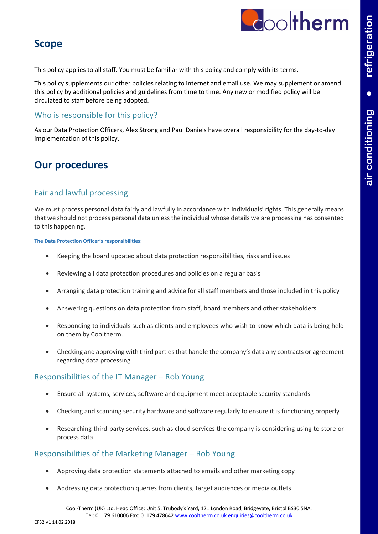

### **Scope**

This policy applies to all staff. You must be familiar with this policy and comply with its terms.

This policy supplements our other policies relating to internet and email use. We may supplement or amend this policy by additional policies and guidelines from time to time. Any new or modified policy will be circulated to staff before being adopted.

#### Who is responsible for this policy?

As our Data Protection Officers, Alex Strong and Paul Daniels have overall responsibility for the day-to-day implementation of this policy.

### **Our procedures**

#### Fair and lawful processing

We must process personal data fairly and lawfully in accordance with individuals' rights. This generally means that we should not process personal data unless the individual whose details we are processing has consented to this happening.

**The Data Protection Officer's responsibilities:**

- Keeping the board updated about data protection responsibilities, risks and issues
- Reviewing all data protection procedures and policies on a regular basis
- Arranging data protection training and advice for all staff members and those included in this policy
- Answering questions on data protection from staff, board members and other stakeholders
- Responding to individuals such as clients and employees who wish to know which data is being held on them by Cooltherm.
- Checking and approving with third parties that handle the company's data any contracts or agreement regarding data processing

#### Responsibilities of the IT Manager – Rob Young

- Ensure all systems, services, software and equipment meet acceptable security standards
- Checking and scanning security hardware and software regularly to ensure it is functioning properly
- Researching third-party services, such as cloud services the company is considering using to store or process data

#### Responsibilities of the Marketing Manager – Rob Young

- Approving data protection statements attached to emails and other marketing copy
- Addressing data protection queries from clients, target audiences or media outlets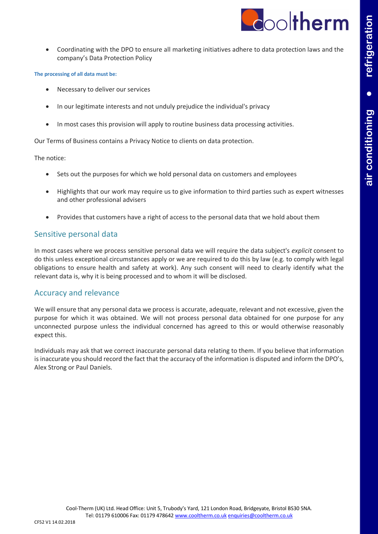

• Coordinating with the DPO to ensure all marketing initiatives adhere to data protection laws and the company's Data Protection Policy

#### **The processing of all data must be:**

- Necessary to deliver our services
- In our legitimate interests and not unduly prejudice the individual's privacy
- In most cases this provision will apply to routine business data processing activities.

Our Terms of Business contains a Privacy Notice to clients on data protection.

The notice:

- Sets out the purposes for which we hold personal data on customers and employees
- Highlights that our work may require us to give information to third parties such as expert witnesses and other professional advisers
- Provides that customers have a right of access to the personal data that we hold about them

#### Sensitive personal data

In most cases where we process sensitive personal data we will require the data subject's *explicit* consent to do this unless exceptional circumstances apply or we are required to do this by law (e.g. to comply with legal obligations to ensure health and safety at work). Any such consent will need to clearly identify what the relevant data is, why it is being processed and to whom it will be disclosed.

#### Accuracy and relevance

We will ensure that any personal data we process is accurate, adequate, relevant and not excessive, given the purpose for which it was obtained. We will not process personal data obtained for one purpose for any unconnected purpose unless the individual concerned has agreed to this or would otherwise reasonably expect this.

Individuals may ask that we correct inaccurate personal data relating to them. If you believe that information is inaccurate you should record the fact that the accuracy of the information is disputed and inform the DPO's, Alex Strong or Paul Daniels.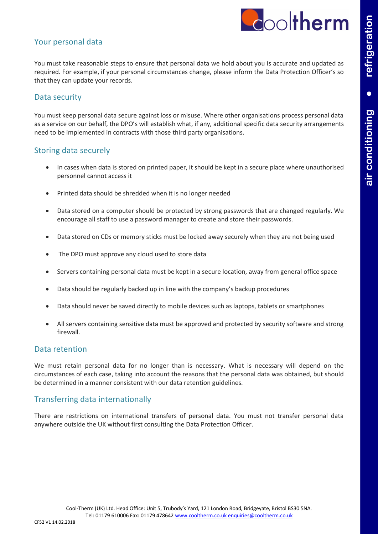

#### Your personal data

You must take reasonable steps to ensure that personal data we hold about you is accurate and updated as required. For example, if your personal circumstances change, please inform the Data Protection Officer's so that they can update your records.

#### Data security

You must keep personal data secure against loss or misuse. Where other organisations process personal data as a service on our behalf, the DPO's will establish what, if any, additional specific data security arrangements need to be implemented in contracts with those third party organisations.

#### Storing data securely

- In cases when data is stored on printed paper, it should be kept in a secure place where unauthorised personnel cannot access it
- Printed data should be shredded when it is no longer needed
- Data stored on a computer should be protected by strong passwords that are changed regularly. We encourage all staff to use a password manager to create and store their passwords.
- Data stored on CDs or memory sticks must be locked away securely when they are not being used
- The DPO must approve any cloud used to store data
- Servers containing personal data must be kept in a secure location, away from general office space
- Data should be regularly backed up in line with the company's backup procedures
- Data should never be saved directly to mobile devices such as laptops, tablets or smartphones
- All servers containing sensitive data must be approved and protected by security software and strong firewall.

#### Data retention

We must retain personal data for no longer than is necessary. What is necessary will depend on the circumstances of each case, taking into account the reasons that the personal data was obtained, but should be determined in a manner consistent with our data retention guidelines.

#### Transferring data internationally

There are restrictions on international transfers of personal data. You must not transfer personal data anywhere outside the UK without first consulting the Data Protection Officer.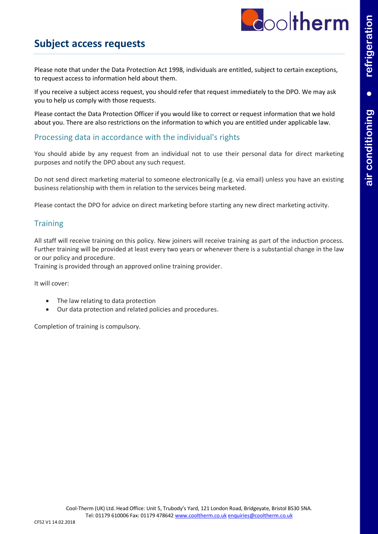

### **Subject access requests**

Please note that under the Data Protection Act 1998, individuals are entitled, subject to certain exceptions, to request access to information held about them.

If you receive a subject access request, you should refer that request immediately to the DPO. We may ask you to help us comply with those requests.

Please contact the Data Protection Officer if you would like to correct or request information that we hold about you. There are also restrictions on the information to which you are entitled under applicable law.

#### Processing data in accordance with the individual's rights

You should abide by any request from an individual not to use their personal data for direct marketing purposes and notify the DPO about any such request.

Do not send direct marketing material to someone electronically (e.g. via email) unless you have an existing business relationship with them in relation to the services being marketed.

Please contact the DPO for advice on direct marketing before starting any new direct marketing activity.

#### **Training**

All staff will receive training on this policy. New joiners will receive training as part of the induction process. Further training will be provided at least every two years or whenever there is a substantial change in the law or our policy and procedure.

Training is provided through an approved online training provider.

It will cover:

- The law relating to data protection
- Our data protection and related policies and procedures.

Completion of training is compulsory.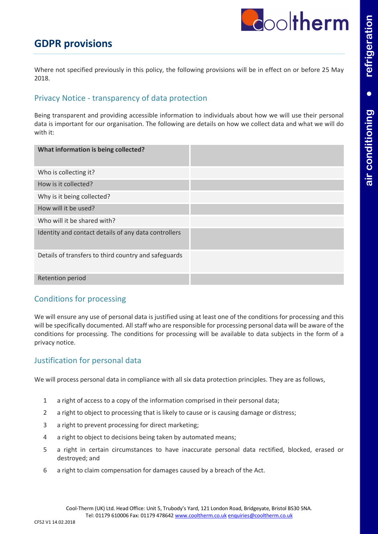### **GDPR provisions**

Where not specified previously in this policy, the following provisions will be in effect on or before 25 May 2018.

#### Privacy Notice - transparency of data protection

Being transparent and providing accessible information to individuals about how we will use their personal data is important for our organisation. The following are details on how we collect data and what we will do with it:

| What information is being collected?                 |  |
|------------------------------------------------------|--|
| Who is collecting it?                                |  |
| How is it collected?                                 |  |
| Why is it being collected?                           |  |
| How will it be used?                                 |  |
| Who will it be shared with?                          |  |
| Identity and contact details of any data controllers |  |
| Details of transfers to third country and safeguards |  |
| <b>Retention period</b>                              |  |

#### Conditions for processing

We will ensure any use of personal data is justified using at least one of the conditions for processing and this will be specifically documented. All staff who are responsible for processing personal data will be aware of the conditions for processing. The conditions for processing will be available to data subjects in the form of a privacy notice.

#### Justification for personal data

We will process personal data in compliance with all six data protection principles. They are as follows,

- 1 a right of access to a copy of the information comprised in their personal data;
- 2 a right to object to processing that is likely to cause or is causing damage or distress;
- 3 a right to prevent processing for direct marketing;
- 4 a right to object to decisions being taken by automated means;
- 5 a right in certain circumstances to have inaccurate personal data rectified, blocked, erased or destroyed; and
- 6 a right to claim compensation for damages caused by a breach of the Act.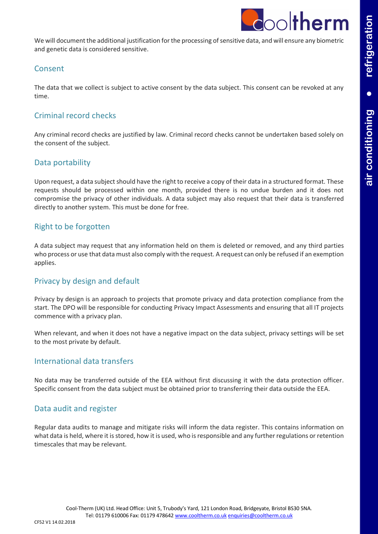

We will document the additional justification for the processing of sensitive data, and will ensure any biometric and genetic data is considered sensitive.

#### Consent

The data that we collect is subject to active consent by the data subject. This consent can be revoked at any time.

#### Criminal record checks

Any criminal record checks are justified by law. Criminal record checks cannot be undertaken based solely on the consent of the subject.

#### Data portability

Upon request, a data subject should have the right to receive a copy of their data in a structured format. These requests should be processed within one month, provided there is no undue burden and it does not compromise the privacy of other individuals. A data subject may also request that their data is transferred directly to another system. This must be done for free.

#### Right to be forgotten

A data subject may request that any information held on them is deleted or removed, and any third parties who process or use that data must also comply with the request. A request can only be refused if an exemption applies.

#### Privacy by design and default

Privacy by design is an approach to projects that promote privacy and data protection compliance from the start. The DPO will be responsible for conducting Privacy Impact Assessments and ensuring that all IT projects commence with a privacy plan.

When relevant, and when it does not have a negative impact on the data subject, privacy settings will be set to the most private by default.

#### International data transfers

No data may be transferred outside of the EEA without first discussing it with the data protection officer. Specific consent from the data subject must be obtained prior to transferring their data outside the EEA.

#### Data audit and register

Regular data audits to manage and mitigate risks will inform the data register. This contains information on what data is held, where it is stored, how it is used, who is responsible and any further regulations or retention timescales that may be relevant.